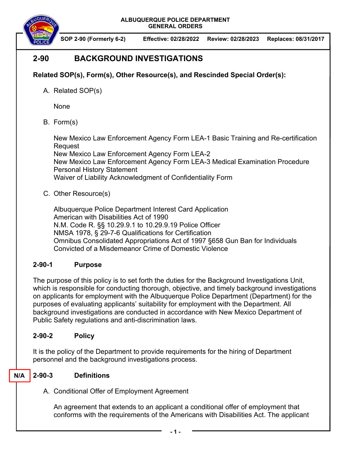

**SOP 2-90 (Formerly 6-2) Effective: 02/28/2022 Review: 02/28/2023 Replaces: 08/31/2017** 

# **2-90 BACKGROUND INVESTIGATIONS**

## **Related SOP(s), Form(s), Other Resource(s), and Rescinded Special Order(s):**

A. Related SOP(s)

None

B. Form(s)

New Mexico Law Enforcement Agency Form LEA-1 Basic Training and Re-certification Request New Mexico Law Enforcement Agency Form LEA-2

New Mexico Law Enforcement Agency Form LEA-3 Medical Examination Procedure Personal History Statement

Waiver of Liability Acknowledgment of Confidentiality Form

## C. Other Resource(s)

Albuquerque Police Department Interest Card Application American with Disabilities Act of 1990 N.M. Code R. §§ 10.29.9.1 to 10.29.9.19 Police Officer NMSA 1978, § 29-7-6 Qualifications for Certification Omnibus Consolidated Appropriations Act of 1997 §658 Gun Ban for Individuals Convicted of a Misdemeanor Crime of Domestic Violence

## **2-90-1 Purpose**

The purpose of this policy is to set forth the duties for the Background Investigations Unit, which is responsible for conducting thorough, objective, and timely background investigations on applicants for employment with the Albuquerque Police Department (Department) for the purposes of evaluating applicants' suitability for employment with the Department. All background investigations are conducted in accordance with New Mexico Department of Public Safety regulations and anti-discrimination laws.

## **2-90-2 Policy**

It is the policy of the Department to provide requirements for the hiring of Department personnel and the background investigations process.

#### **2-90-3 Definitions N/A**

A. Conditional Offer of Employment Agreement

An agreement that extends to an applicant a conditional offer of employment that conforms with the requirements of the Americans with Disabilities Act. The applicant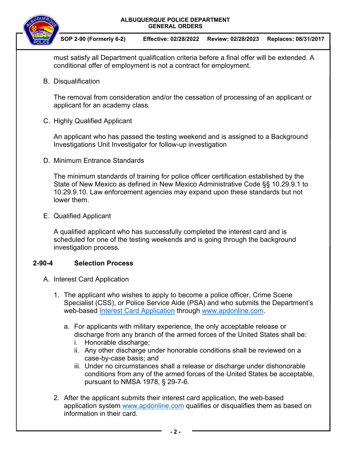



**SOP 2-90 (Formerly 6-2) Effective: 02/28/2022 Review: 02/28/2023 Replaces: 08/31/2017** 

must satisfy all Department qualification criteria before a final offer will be extended. A conditional offer of employment is not a contract for employment.

B. Disqualification

The removal from consideration and/or the cessation of processing of an applicant or applicant for an academy class.

C. Highly Qualified Applicant

An applicant who has passed the testing weekend and is assigned to a Background Investigations Unit Investigator for follow-up investigation

D. Minimum Entrance Standards

The minimum standards of training for police officer certification established by the State of New Mexico as defined in New Mexico Administrative Code §§ 10.29.9.1 to 10.29.9.10. Law enforcement agencies may expand upon these standards but not lower them.

E. Qualified Applicant

A qualified applicant who has successfully completed the interest card and is scheduled for one of the testing weekends and is going through the background investigation process.

## **2-90-4 Selection Process**

- A. Interest Card Application
	- 1. The applicant who wishes to apply to become a police officer, Crime Scene Specialist (CSS), or Police Service Aide (PSA) and who submits the Department's web-based Interest Card Application through www.apdonline.com.
		- a. For applicants with military experience, the only acceptable release or discharge from any branch of the armed forces of the United States shall be:
			- i. Honorable discharge;
			- ii. Any other discharge under honorable conditions shall be reviewed on a case-by-case basis; and
			- iii. Under no circumstances shall a release or discharge under dishonorable conditions from any of the armed forces of the United States be acceptable, pursuant to NMSA 1978, § 29-7-6.
	- 2. After the applicant submits their interest card application, the web-based application system www.apdonline.com qualifies or disqualifies them as based on information in their card.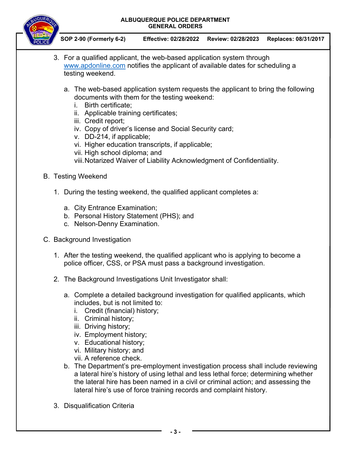

- 3. For a qualified applicant, the web-based application system through www.apdonline.com notifies the applicant of available dates for scheduling a testing weekend.
	- a. The web-based application system requests the applicant to bring the following documents with them for the testing weekend:
		- i. Birth certificate;
		- ii. Applicable training certificates;
		- iii. Credit report;
		- iv. Copy of driver's license and Social Security card;
		- v. DD-214, if applicable;
		- vi. Higher education transcripts, if applicable;
		- vii. High school diploma; and
		- viii. Notarized Waiver of Liability Acknowledgment of Confidentiality.
- B. Testing Weekend
	- 1. During the testing weekend, the qualified applicant completes a:
		- a. City Entrance Examination;
		- b. Personal History Statement (PHS); and
		- c. Nelson-Denny Examination.
- C. Background Investigation
	- 1. After the testing weekend, the qualified applicant who is applying to become a police officer, CSS, or PSA must pass a background investigation.
	- 2. The Background Investigations Unit Investigator shall:
		- a. Complete a detailed background investigation for qualified applicants, which includes, but is not limited to:
			- i. Credit (financial) history;
			- ii. Criminal history;
			- iii. Driving history;
			- iv. Employment history;
			- v. Educational history;
			- vi. Military history; and
			- vii. A reference check.
		- b. The Department's pre-employment investigation process shall include reviewing a lateral hire's history of using lethal and less lethal force; determining whether the lateral hire has been named in a civil or criminal action; and assessing the lateral hire's use of force training records and complaint history.
	- 3. Disqualification Criteria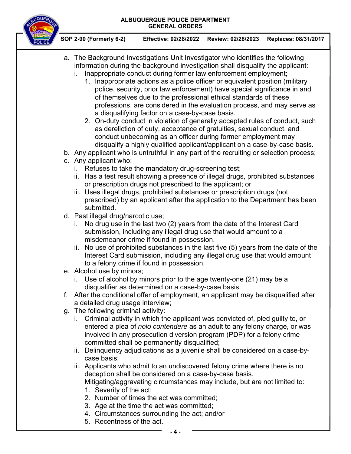

- a. The Background Investigations Unit Investigator who identifies the following information during the background investigation shall disqualify the applicant:
	- i. Inappropriate conduct during former law enforcement employment;
		- 1. Inappropriate actions as a police officer or equivalent position (military police, security, prior law enforcement) have special significance in and of themselves due to the professional ethical standards of these professions, are considered in the evaluation process, and may serve as a disqualifying factor on a case-by-case basis.
		- 2. On-duty conduct in violation of generally accepted rules of conduct, such as dereliction of duty, acceptance of gratuities, sexual conduct, and conduct unbecoming as an officer during former employment may disqualify a highly qualified applicant/applicant on a case-by-case basis.
- b. Any applicant who is untruthful in any part of the recruiting or selection process;
- c. Any applicant who:
	- i. Refuses to take the mandatory drug-screening test;
	- ii. Has a test result showing a presence of illegal drugs, prohibited substances or prescription drugs not prescribed to the applicant; or
	- iii. Uses illegal drugs, prohibited substances or prescription drugs (not prescribed) by an applicant after the application to the Department has been submitted.
- d. Past illegal drug/narcotic use;
	- i. No drug use in the last two (2) years from the date of the Interest Card submission, including any illegal drug use that would amount to a misdemeanor crime if found in possession.
	- ii. No use of prohibited substances in the last five (5) years from the date of the Interest Card submission, including any illegal drug use that would amount to a felony crime if found in possession.
- e. Alcohol use by minors;
	- i. Use of alcohol by minors prior to the age twenty-one (21) may be a disqualifier as determined on a case-by-case basis.
- f. After the conditional offer of employment, an applicant may be disqualified after a detailed drug usage interview;
- g. The following criminal activity:
	- i. Criminal activity in which the applicant was convicted of, pled guilty to, or entered a plea of *nolo contendere* as an adult to any felony charge, or was involved in any prosecution diversion program (PDP) for a felony crime committed shall be permanently disqualified;
	- ii. Delinquency adjudications as a juvenile shall be considered on a case-bycase basis;
	- iii. Applicants who admit to an undiscovered felony crime where there is no deception shall be considered on a case-by-case basis. Mitigating/aggravating circumstances may include, but are not limited to:
		- 1. Severity of the act;
		- 2. Number of times the act was committed;
		- 3. Age at the time the act was committed;
		- 4. Circumstances surrounding the act; and/or
		- 5. Recentness of the act.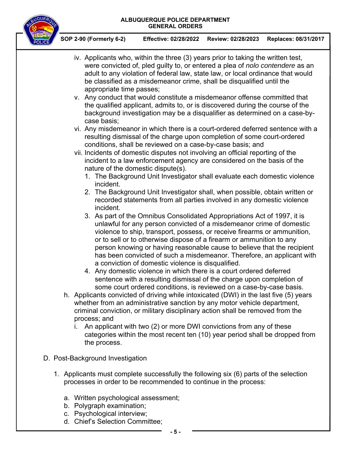

- iv. Applicants who, within the three (3) years prior to taking the written test, were convicted of, pled guilty to, or entered a plea of *nolo contendere* as an adult to any violation of federal law, state law, or local ordinance that would be classified as a misdemeanor crime, shall be disqualified until the appropriate time passes;
- v. Any conduct that would constitute a misdemeanor offense committed that the qualified applicant, admits to, or is discovered during the course of the background investigation may be a disqualifier as determined on a case-bycase basis;
- vi. Any misdemeanor in which there is a court-ordered deferred sentence with a resulting dismissal of the charge upon completion of some court-ordered conditions, shall be reviewed on a case-by-case basis; and
- vii. Incidents of domestic disputes not involving an official reporting of the incident to a law enforcement agency are considered on the basis of the nature of the domestic dispute(s).
	- 1. The Background Unit Investigator shall evaluate each domestic violence incident.
	- 2. The Background Unit Investigator shall, when possible, obtain written or recorded statements from all parties involved in any domestic violence incident.
	- 3. As part of the Omnibus Consolidated Appropriations Act of 1997, it is unlawful for any person convicted of a misdemeanor crime of domestic violence to ship, transport, possess, or receive firearms or ammunition, or to sell or to otherwise dispose of a firearm or ammunition to any person knowing or having reasonable cause to believe that the recipient has been convicted of such a misdemeanor. Therefore, an applicant with a conviction of domestic violence is disqualified.
	- 4. Any domestic violence in which there is a court ordered deferred sentence with a resulting dismissal of the charge upon completion of some court ordered conditions, is reviewed on a case-by-case basis.
- h. Applicants convicted of driving while intoxicated (DWI) in the last five (5) years whether from an administrative sanction by any motor vehicle department, criminal conviction, or military disciplinary action shall be removed from the process; and
	- i. An applicant with two (2) or more DWI convictions from any of these categories within the most recent ten (10) year period shall be dropped from the process.
- D. Post-Background Investigation
	- 1. Applicants must complete successfully the following six (6) parts of the selection processes in order to be recommended to continue in the process:
		- a. Written psychological assessment;
		- b. Polygraph examination;
		- c. Psychological interview;
		- d. Chief's Selection Committee;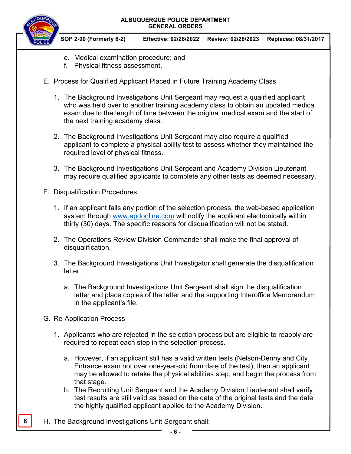

- e. Medical examination procedure; and
- f. Physical fitness assessment.
- E. Process for Qualified Applicant Placed in Future Training Academy Class
	- 1. The Background Investigations Unit Sergeant may request a qualified applicant who was held over to another training academy class to obtain an updated medical exam due to the length of time between the original medical exam and the start of the next training academy class.
	- 2. The Background Investigations Unit Sergeant may also require a qualified applicant to complete a physical ability test to assess whether they maintained the required level of physical fitness.
	- 3. The Background Investigations Unit Sergeant and Academy Division Lieutenant may require qualified applicants to complete any other tests as deemed necessary.
- F. Disqualification Procedures
	- 1. If an applicant fails any portion of the selection process, the web-based application system through www.apdonline.com will notify the applicant electronically within thirty (30) days. The specific reasons for disqualification will not be stated.
	- 2. The Operations Review Division Commander shall make the final approval of disqualification.
	- 3. The Background Investigations Unit Investigator shall generate the disqualification letter.
		- a. The Background Investigations Unit Sergeant shall sign the disqualification letter and place copies of the letter and the supporting Interoffice Memorandum in the applicant's file.
- G. Re-Application Process
	- 1. Applicants who are rejected in the selection process but are eligible to reapply are required to repeat each step in the selection process.
		- a. However, if an applicant still has a valid written tests (Nelson-Denny and City Entrance exam not over one-year-old from date of the test), then an applicant may be allowed to retake the physical abilities step, and begin the process from that stage.
		- b. The Recruiting Unit Sergeant and the Academy Division Lieutenant shall verify test results are still valid as based on the date of the original tests and the date the highly qualified applicant applied to the Academy Division.
- **6 H.** The Background Investigations Unit Sergeant shall: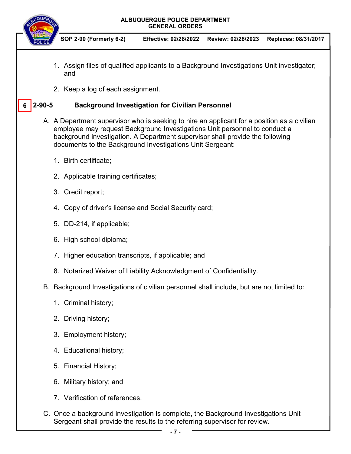|   |              | <b>GENERAL ORDERS</b>                                                                                                                                                                                                                                                                                                   |  |  |  |
|---|--------------|-------------------------------------------------------------------------------------------------------------------------------------------------------------------------------------------------------------------------------------------------------------------------------------------------------------------------|--|--|--|
|   |              | SOP 2-90 (Formerly 6-2)<br><b>Effective: 02/28/2022</b><br>Review: 02/28/2023<br>Replaces: 08/31/2017                                                                                                                                                                                                                   |  |  |  |
|   |              | 1. Assign files of qualified applicants to a Background Investigations Unit investigator;<br>and                                                                                                                                                                                                                        |  |  |  |
|   |              | 2. Keep a log of each assignment.                                                                                                                                                                                                                                                                                       |  |  |  |
| 6 | $2 - 90 - 5$ | <b>Background Investigation for Civilian Personnel</b>                                                                                                                                                                                                                                                                  |  |  |  |
|   |              | A. A Department supervisor who is seeking to hire an applicant for a position as a civilian<br>employee may request Background Investigations Unit personnel to conduct a<br>background investigation. A Department supervisor shall provide the following<br>documents to the Background Investigations Unit Sergeant: |  |  |  |
|   |              | 1. Birth certificate;                                                                                                                                                                                                                                                                                                   |  |  |  |
|   |              | 2. Applicable training certificates;                                                                                                                                                                                                                                                                                    |  |  |  |
|   |              | 3. Credit report;                                                                                                                                                                                                                                                                                                       |  |  |  |
|   |              | 4. Copy of driver's license and Social Security card;                                                                                                                                                                                                                                                                   |  |  |  |
|   |              | 5. DD-214, if applicable;                                                                                                                                                                                                                                                                                               |  |  |  |
|   |              | 6. High school diploma;                                                                                                                                                                                                                                                                                                 |  |  |  |
|   |              | 7. Higher education transcripts, if applicable; and                                                                                                                                                                                                                                                                     |  |  |  |
|   |              | 8. Notarized Waiver of Liability Acknowledgment of Confidentiality.                                                                                                                                                                                                                                                     |  |  |  |
|   |              | B. Background Investigations of civilian personnel shall include, but are not limited to:                                                                                                                                                                                                                               |  |  |  |
|   |              | 1. Criminal history;                                                                                                                                                                                                                                                                                                    |  |  |  |
|   |              | 2. Driving history;                                                                                                                                                                                                                                                                                                     |  |  |  |
|   |              | 3. Employment history;                                                                                                                                                                                                                                                                                                  |  |  |  |
|   |              | 4. Educational history;                                                                                                                                                                                                                                                                                                 |  |  |  |
|   |              | 5. Financial History;                                                                                                                                                                                                                                                                                                   |  |  |  |
|   |              | 6. Military history; and                                                                                                                                                                                                                                                                                                |  |  |  |
|   |              | 7. Verification of references.                                                                                                                                                                                                                                                                                          |  |  |  |
|   |              | C. Once a background investigation is complete, the Background Investigations Unit<br>Sergeant shall provide the results to the referring supervisor for review.                                                                                                                                                        |  |  |  |

**ALBUQUERQUE POLICE DEPARTMENT** 

BUQUERO

j.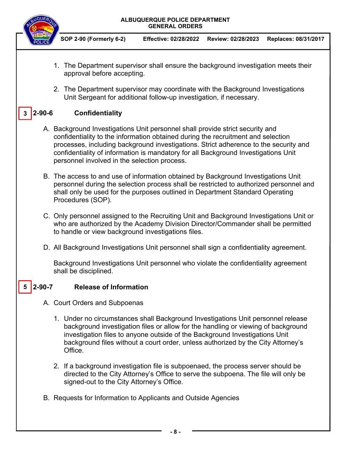# **GENERAL ORDERS SOP 2-90 (Formerly 6-2) Effective: 02/28/2022 Review: 02/28/2023 Replaces: 08/31/2017**  1. The Department supervisor shall ensure the background investigation meets their approval before accepting. 2. The Department supervisor may coordinate with the Background Investigations Unit Sergeant for additional follow-up investigation, if necessary. **2-90-6 Confidentiality**  A. Background Investigations Unit personnel shall provide strict security and confidentiality to the information obtained during the recruitment and selection processes, including background investigations. Strict adherence to the security and confidentiality of information is mandatory for all Background Investigations Unit personnel involved in the selection process. B. The access to and use of information obtained by Background Investigations Unit personnel during the selection process shall be restricted to authorized personnel and shall only be used for the purposes outlined in Department Standard Operating Procedures (SOP). C. Only personnel assigned to the Recruiting Unit and Background Investigations Unit or who are authorized by the Academy Division Director/Commander shall be permitted to handle or view background investigations files. D. All Background Investigations Unit personnel shall sign a confidentiality agreement. Background Investigations Unit personnel who violate the confidentiality agreement shall be disciplined. **Release of Information** A. Court Orders and Subpoenas 1. Under no circumstances shall Background Investigations Unit personnel release background investigation files or allow for the handling or viewing of background investigation files to anyone outside of the Background Investigations Unit background files without a court order, unless authorized by the City Attorney's **Office** 2. If a background investigation file is subpoenaed, the process server should be directed to the City Attorney's Office to serve the subpoena. The file will only be signed-out to the City Attorney's Office. B. Requests for Information to Applicants and Outside Agencies **5**

**ALBUQUERQUE POLICE DEPARTMENT** 

**3**